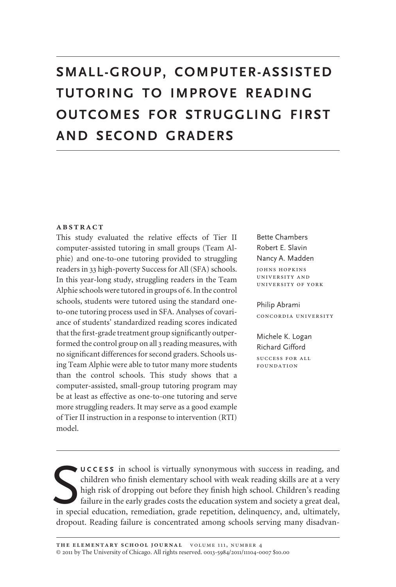# **SMALL-GROUP, COMPUTER-ASSISTED TUTORING TO IMPROVE READING OUTCOMES FOR STRUGGLING FIRST AND SECOND GRADERS**

#### **ABSTRACT**

This study evaluated the relative effects of Tier II computer-assisted tutoring in small groups (Team Alphie) and one-to-one tutoring provided to struggling readers in 33 high-poverty Success for All (SFA) schools. In this year-long study, struggling readers in the Team Alphie schools were tutored in groups of 6. In the control schools, students were tutored using the standard oneto-one tutoring process used in SFA. Analyses of covariance of students' standardized reading scores indicated that the first-grade treatment group significantly outperformed the control group on all 3 reading measures, with no significant differences for second graders. Schools using Team Alphie were able to tutor many more students than the control schools. This study shows that a computer-assisted, small-group tutoring program may be at least as effective as one-to-one tutoring and serve more struggling readers. It may serve as a good example of Tier II instruction in a response to intervention (RTI) model.

Bette Chambers Robert E. Slavin Nancy A. Madden JOHNS HOPKINS UNIVERSITY AND UNIVERSITY OF YORK

Philip Abrami CONCORDIA UNIVERSITY

Michele K. Logan Richard Gifford SUCCESS FOR ALL FOUNDATION

UCCESS in school is virtually synonymous with success in reading, and children who finish elementary school with weak reading skills are at a very high risk of dropping out before they finish high school. Children's readin **UCCESS** in school is virtually synonymous with success in reading, and children who finish elementary school with weak reading skills are at a very high risk of dropping out before they finish high school. Children's reading failure in the early grades costs the education system and society a great deal, dropout. Reading failure is concentrated among schools serving many disadvan-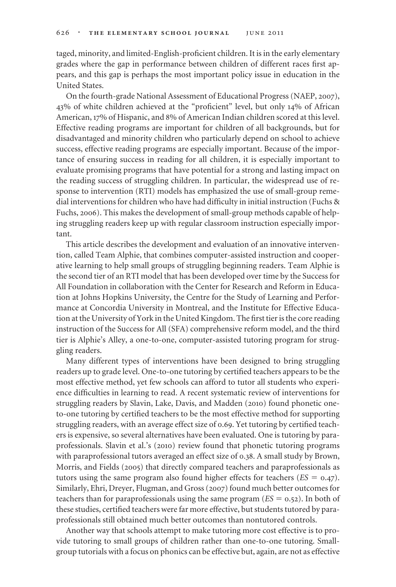taged, minority, and limited-English-proficient children. It is in the early elementary grades where the gap in performance between children of different races first appears, and this gap is perhaps the most important policy issue in education in the United States.

On the fourth-grade National Assessment of Educational Progress (NAEP, 2007), 43% of white children achieved at the "proficient" level, but only 14% of African American, 17% of Hispanic, and 8% of American Indian children scored at this level. Effective reading programs are important for children of all backgrounds, but for disadvantaged and minority children who particularly depend on school to achieve success, effective reading programs are especially important. Because of the importance of ensuring success in reading for all children, it is especially important to evaluate promising programs that have potential for a strong and lasting impact on the reading success of struggling children. In particular, the widespread use of response to intervention (RTI) models has emphasized the use of small-group remedial interventions for children who have had difficulty in initial instruction (Fuchs & Fuchs, 2006). This makes the development of small-group methods capable of helping struggling readers keep up with regular classroom instruction especially important.

This article describes the development and evaluation of an innovative intervention, called Team Alphie, that combines computer-assisted instruction and cooperative learning to help small groups of struggling beginning readers. Team Alphie is the second tier of an RTI model that has been developed over time by the Success for All Foundation in collaboration with the Center for Research and Reform in Education at Johns Hopkins University, the Centre for the Study of Learning and Performance at Concordia University in Montreal, and the Institute for Effective Education at the University of York in the United Kingdom. The first tier is the core reading instruction of the Success for All (SFA) comprehensive reform model, and the third tier is Alphie's Alley, a one-to-one, computer-assisted tutoring program for struggling readers.

Many different types of interventions have been designed to bring struggling readers up to grade level. One-to-one tutoring by certified teachers appears to be the most effective method, yet few schools can afford to tutor all students who experience difficulties in learning to read. A recent systematic review of interventions for struggling readers by Slavin, Lake, Davis, and Madden (2010) found phonetic oneto-one tutoring by certified teachers to be the most effective method for supporting struggling readers, with an average effect size of 0.69. Yet tutoring by certified teachers is expensive, so several alternatives have been evaluated. One is tutoring by paraprofessionals. Slavin et al.'s (2010) review found that phonetic tutoring programs with paraprofessional tutors averaged an effect size of 0.38. A small study by Brown, Morris, and Fields (2005) that directly compared teachers and paraprofessionals as tutors using the same program also found higher effects for teachers  $(ES = 0.47)$ . Similarly, Ehri, Dreyer, Flugman, and Gross (2007) found much better outcomes for teachers than for paraprofessionals using the same program ( $ES = 0.52$ ). In both of these studies, certified teachers were far more effective, but students tutored by paraprofessionals still obtained much better outcomes than nontutored controls.

Another way that schools attempt to make tutoring more cost effective is to provide tutoring to small groups of children rather than one-to-one tutoring. Smallgroup tutorials with a focus on phonics can be effective but, again, are not as effective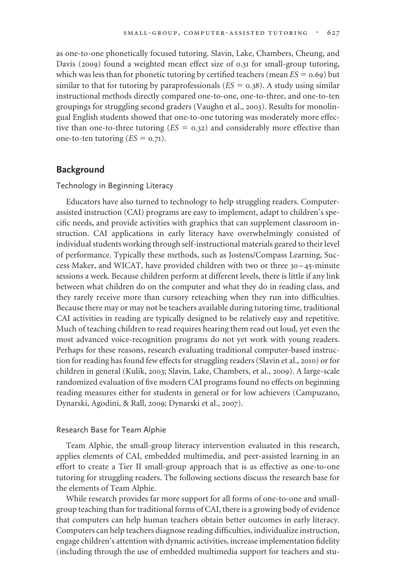as one-to-one phonetically focused tutoring. Slavin, Lake, Chambers, Cheung, and Davis (2009) found a weighted mean effect size of 0.31 for small-group tutoring, which was less than for phonetic tutoring by certified teachers (mean  $ES = 0.69$ ) but similar to that for tutoring by paraprofessionals  $(ES = 0.38)$ . A study using similar instructional methods directly compared one-to-one, one-to-three, and one-to-ten groupings for struggling second graders (Vaughn et al., 2003). Results for monolingual English students showed that one-to-one tutoring was moderately more effective than one-to-three tutoring  $(ES = 0.32)$  and considerably more effective than one-to-ten tutoring  $(ES = 0.71)$ .

# **Background**

## Technology in Beginning Literacy

Educators have also turned to technology to help struggling readers. Computerassisted instruction (CAI) programs are easy to implement, adapt to children's specific needs, and provide activities with graphics that can supplement classroom instruction. CAI applications in early literacy have overwhelmingly consisted of individual students working through self-instructional materials geared to their level of performance. Typically these methods, such as Jostens/Compass Learning, Success Maker, and WICAT, have provided children with two or three 30–45-minute sessions a week. Because children perform at different levels, there is little if any link between what children do on the computer and what they do in reading class, and they rarely receive more than cursory reteaching when they run into difficulties. Because there may or may not be teachers available during tutoring time, traditional CAI activities in reading are typically designed to be relatively easy and repetitive. Much of teaching children to read requires hearing them read out loud, yet even the most advanced voice-recognition programs do not yet work with young readers. Perhaps for these reasons, research evaluating traditional computer-based instruction for reading has found few effects for struggling readers (Slavin et al., 2010) or for children in general (Kulik, 2003; Slavin, Lake, Chambers, et al., 2009). A large-scale randomized evaluation of five modern CAI programs found no effects on beginning reading measures either for students in general or for low achievers (Campuzano, Dynarski, Agodini, & Rall, 2009; Dynarski et al., 2007).

## Research Base for Team Alphie

Team Alphie, the small-group literacy intervention evaluated in this research, applies elements of CAI, embedded multimedia, and peer-assisted learning in an effort to create a Tier II small-group approach that is as effective as one-to-one tutoring for struggling readers. The following sections discuss the research base for the elements of Team Alphie.

While research provides far more support for all forms of one-to-one and smallgroup teaching than for traditional forms of CAI, there is a growing body of evidence that computers can help human teachers obtain better outcomes in early literacy. Computers can help teachers diagnose reading difficulties, individualize instruction, engage children's attention with dynamic activities, increase implementation fidelity (including through the use of embedded multimedia support for teachers and stu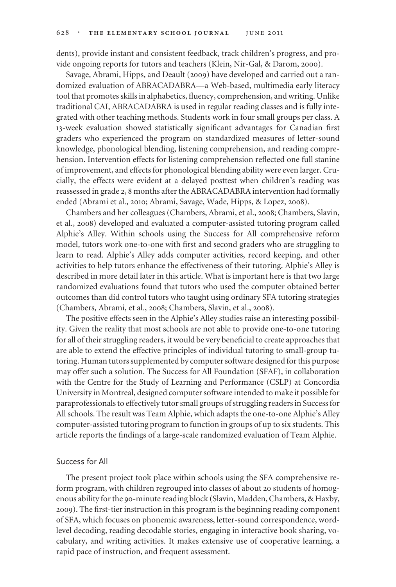dents), provide instant and consistent feedback, track children's progress, and provide ongoing reports for tutors and teachers (Klein, Nir-Gal, & Darom, 2000).

Savage, Abrami, Hipps, and Deault (2009) have developed and carried out a randomized evaluation of ABRACADABRA—a Web-based, multimedia early literacy tool that promotes skills in alphabetics, fluency, comprehension, and writing. Unlike traditional CAI, ABRACADABRA is used in regular reading classes and is fully integrated with other teaching methods. Students work in four small groups per class. A 13-week evaluation showed statistically significant advantages for Canadian first graders who experienced the program on standardized measures of letter-sound knowledge, phonological blending, listening comprehension, and reading comprehension. Intervention effects for listening comprehension reflected one full stanine of improvement, and effects for phonological blending ability were even larger. Crucially, the effects were evident at a delayed posttest when children's reading was reassessed in grade 2, 8 months after the ABRACADABRA intervention had formally ended (Abrami et al., 2010; Abrami, Savage, Wade, Hipps, & Lopez, 2008).

Chambers and her colleagues (Chambers, Abrami, et al., 2008; Chambers, Slavin, et al., 2008) developed and evaluated a computer-assisted tutoring program called Alphie's Alley. Within schools using the Success for All comprehensive reform model, tutors work one-to-one with first and second graders who are struggling to learn to read. Alphie's Alley adds computer activities, record keeping, and other activities to help tutors enhance the effectiveness of their tutoring. Alphie's Alley is described in more detail later in this article. What is important here is that two large randomized evaluations found that tutors who used the computer obtained better outcomes than did control tutors who taught using ordinary SFA tutoring strategies (Chambers, Abrami, et al., 2008; Chambers, Slavin, et al., 2008).

The positive effects seen in the Alphie's Alley studies raise an interesting possibility. Given the reality that most schools are not able to provide one-to-one tutoring for all of their struggling readers, it would be very beneficial to create approaches that are able to extend the effective principles of individual tutoring to small-group tutoring. Human tutors supplemented by computer software designed for this purpose may offer such a solution. The Success for All Foundation (SFAF), in collaboration with the Centre for the Study of Learning and Performance (CSLP) at Concordia University in Montreal, designed computer software intended to make it possible for paraprofessionals to effectively tutor small groups of struggling readers in Success for All schools. The result was Team Alphie, which adapts the one-to-one Alphie's Alley computer-assisted tutoring program to function in groups of up to six students. This article reports the findings of a large-scale randomized evaluation of Team Alphie.

## Success for All

The present project took place within schools using the SFA comprehensive reform program, with children regrouped into classes of about 20 students of homogenous ability for the 90-minute reading block (Slavin, Madden, Chambers, & Haxby, 2009). The first-tier instruction in this program is the beginning reading component of SFA, which focuses on phonemic awareness, letter-sound correspondence, wordlevel decoding, reading decodable stories, engaging in interactive book sharing, vocabulary, and writing activities. It makes extensive use of cooperative learning, a rapid pace of instruction, and frequent assessment.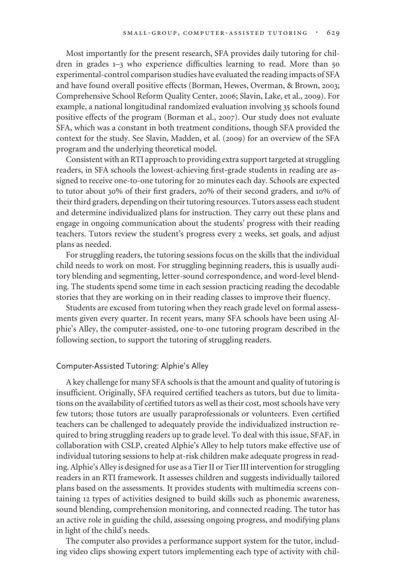Most importantly for the present research, SFA provides daily tutoring for children in grades 1–3 who experience difficulties learning to read. More than 50 experimental-control comparison studies have evaluated the reading impacts of SFA and have found overall positive effects (Borman, Hewes, Overman, & Brown, 2003; Comprehensive School Reform Quality Center, 2006; Slavin, Lake, et al., 2009). For example, a national longitudinal randomized evaluation involving 35 schools found positive effects of the program (Borman et al., 2007). Our study does not evaluate SFA, which was a constant in both treatment conditions, though SFA provided the context for the study. See Slavin, Madden, et al. (2009) for an overview of the SFA program and the underlying theoretical model.

Consistent with an RTI approach to providing extra support targeted at struggling readers, in SFA schools the lowest-achieving first-grade students in reading are assigned to receive one-to-one tutoring for 20 minutes each day. Schools are expected to tutor about 30% of their first graders, 20% of their second graders, and 10% of their third graders, depending on their tutoring resources. Tutors assess each student and determine individualized plans for instruction. They carry out these plans and engage in ongoing communication about the students' progress with their reading teachers. Tutors review the student's progress every 2 weeks, set goals, and adjust plans as needed.

For struggling readers, the tutoring sessions focus on the skills that the individual child needs to work on most. For struggling beginning readers, this is usually auditory blending and segmenting, letter-sound correspondence, and word-level blending. The students spend some time in each session practicing reading the decodable stories that they are working on in their reading classes to improve their fluency.

Students are excused from tutoring when they reach grade level on formal assessments given every quarter. In recent years, many SFA schools have been using Alphie's Alley, the computer-assisted, one-to-one tutoring program described in the following section, to support the tutoring of struggling readers.

## Computer-Assisted Tutoring: Alphie's Alley

A key challenge for many SFA schools is that the amount and quality of tutoring is insufficient. Originally, SFA required certified teachers as tutors, but due to limitations on the availability of certified tutors as well as their cost, most schools have very few tutors; those tutors are usually paraprofessionals or volunteers. Even certified teachers can be challenged to adequately provide the individualized instruction required to bring struggling readers up to grade level. To deal with this issue, SFAF, in collaboration with CSLP, created Alphie's Alley to help tutors make effective use of individual tutoring sessions to help at-risk children make adequate progress in reading. Alphie's Alley is designed for use as a Tier II or Tier III intervention for struggling readers in an RTI framework. It assesses children and suggests individually tailored plans based on the assessments. It provides students with multimedia screens containing 12 types of activities designed to build skills such as phonemic awareness, sound blending, comprehension monitoring, and connected reading. The tutor has an active role in guiding the child, assessing ongoing progress, and modifying plans in light of the child's needs.

The computer also provides a performance support system for the tutor, including video clips showing expert tutors implementing each type of activity with chil-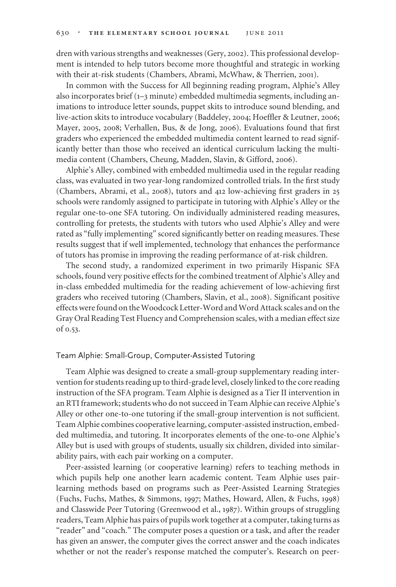dren with various strengths and weaknesses (Gery, 2002). This professional development is intended to help tutors become more thoughtful and strategic in working with their at-risk students (Chambers, Abrami, McWhaw, & Therrien, 2001).

In common with the Success for All beginning reading program, Alphie's Alley also incorporates brief (1–3 minute) embedded multimedia segments, including animations to introduce letter sounds, puppet skits to introduce sound blending, and live-action skits to introduce vocabulary (Baddeley, 2004; Hoeffler & Leutner, 2006; Mayer, 2005, 2008; Verhallen, Bus, & de Jong, 2006). Evaluations found that first graders who experienced the embedded multimedia content learned to read significantly better than those who received an identical curriculum lacking the multimedia content (Chambers, Cheung, Madden, Slavin, & Gifford, 2006).

Alphie's Alley, combined with embedded multimedia used in the regular reading class, was evaluated in two year-long randomized controlled trials. In the first study (Chambers, Abrami, et al., 2008), tutors and 412 low-achieving first graders in 25 schools were randomly assigned to participate in tutoring with Alphie's Alley or the regular one-to-one SFA tutoring. On individually administered reading measures, controlling for pretests, the students with tutors who used Alphie's Alley and were rated as "fully implementing" scored significantly better on reading measures. These results suggest that if well implemented, technology that enhances the performance of tutors has promise in improving the reading performance of at-risk children.

The second study, a randomized experiment in two primarily Hispanic SFA schools, found very positive effects for the combined treatment of Alphie's Alley and in-class embedded multimedia for the reading achievement of low-achieving first graders who received tutoring (Chambers, Slavin, et al., 2008). Significant positive effects were found on the Woodcock Letter-Word and Word Attack scales and on the Gray Oral Reading Test Fluency and Comprehension scales, with a median effect size of 0.53.

## Team Alphie: Small-Group, Computer-Assisted Tutoring

Team Alphie was designed to create a small-group supplementary reading intervention for students reading up to third-grade level, closely linked to the core reading instruction of the SFA program. Team Alphie is designed as a Tier II intervention in an RTI framework; students who do not succeed in Team Alphie can receive Alphie's Alley or other one-to-one tutoring if the small-group intervention is not sufficient. Team Alphie combines cooperative learning, computer-assisted instruction, embedded multimedia, and tutoring. It incorporates elements of the one-to-one Alphie's Alley but is used with groups of students, usually six children, divided into similarability pairs, with each pair working on a computer.

Peer-assisted learning (or cooperative learning) refers to teaching methods in which pupils help one another learn academic content. Team Alphie uses pairlearning methods based on programs such as Peer-Assisted Learning Strategies (Fuchs, Fuchs, Mathes, & Simmons, 1997; Mathes, Howard, Allen, & Fuchs, 1998) and Classwide Peer Tutoring (Greenwood et al., 1987). Within groups of struggling readers, Team Alphie has pairs of pupils work together at a computer, taking turns as "reader" and "coach." The computer poses a question or a task, and after the reader has given an answer, the computer gives the correct answer and the coach indicates whether or not the reader's response matched the computer's. Research on peer-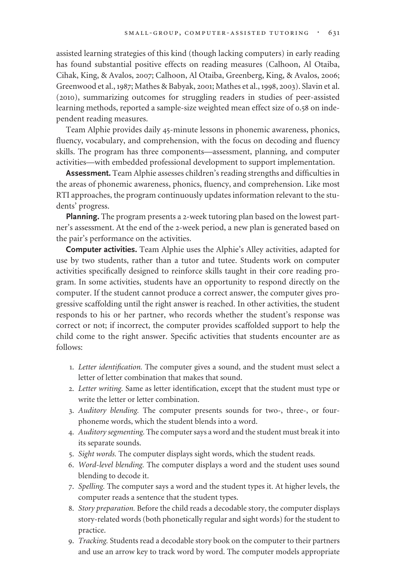assisted learning strategies of this kind (though lacking computers) in early reading has found substantial positive effects on reading measures (Calhoon, Al Otaiba, Cihak, King, & Avalos, 2007; Calhoon, Al Otaiba, Greenberg, King, & Avalos, 2006; Greenwood et al., 1987; Mathes & Babyak, 2001; Mathes et al.,1998, 2003). Slavin et al. (2010), summarizing outcomes for struggling readers in studies of peer-assisted learning methods, reported a sample-size weighted mean effect size of 0.58 on independent reading measures.

Team Alphie provides daily 45-minute lessons in phonemic awareness, phonics, fluency, vocabulary, and comprehension, with the focus on decoding and fluency skills. The program has three components—assessment, planning, and computer activities—with embedded professional development to support implementation.

**Assessment.** Team Alphie assesses children's reading strengths and difficulties in the areas of phonemic awareness, phonics, fluency, and comprehension. Like most RTI approaches, the program continuously updates information relevant to the students' progress.

**Planning.** The program presents a 2-week tutoring plan based on the lowest partner's assessment. At the end of the 2-week period, a new plan is generated based on the pair's performance on the activities.

**Computer activities.** Team Alphie uses the Alphie's Alley activities, adapted for use by two students, rather than a tutor and tutee. Students work on computer activities specifically designed to reinforce skills taught in their core reading program. In some activities, students have an opportunity to respond directly on the computer. If the student cannot produce a correct answer, the computer gives progressive scaffolding until the right answer is reached. In other activities, the student responds to his or her partner, who records whether the student's response was correct or not; if incorrect, the computer provides scaffolded support to help the child come to the right answer. Specific activities that students encounter are as follows:

- 1. *Letter identification.* The computer gives a sound, and the student must select a letter of letter combination that makes that sound.
- 2. *Letter writing.* Same as letter identification, except that the student must type or write the letter or letter combination.
- 3. *Auditory blending.* The computer presents sounds for two-, three-, or fourphoneme words, which the student blends into a word.
- 4. *Auditory segmenting.* The computer says a word and the student must break it into its separate sounds.
- 5. *Sight words.* The computer displays sight words, which the student reads.
- 6. *Word-level blending.* The computer displays a word and the student uses sound blending to decode it.
- 7. *Spelling.* The computer says a word and the student types it. At higher levels, the computer reads a sentence that the student types.
- 8. *Story preparation.* Before the child reads a decodable story, the computer displays story-related words (both phonetically regular and sight words) for the student to practice.
- 9. *Tracking.* Students read a decodable story book on the computer to their partners and use an arrow key to track word by word. The computer models appropriate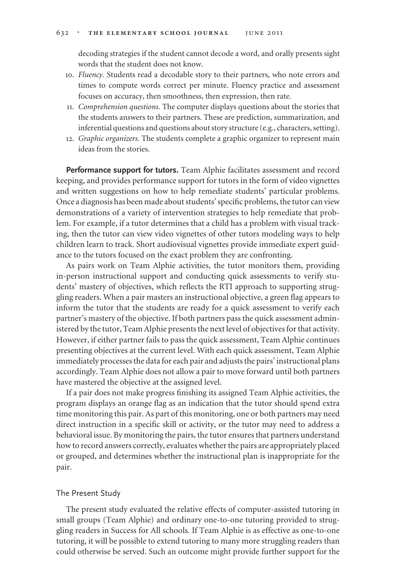decoding strategies if the student cannot decode a word, and orally presents sight words that the student does not know.

- 10. *Fluency.* Students read a decodable story to their partners, who note errors and times to compute words correct per minute. Fluency practice and assessment focuses on accuracy, then smoothness, then expression, then rate.
- 11. *Comprehension questions.* The computer displays questions about the stories that the students answers to their partners. These are prediction, summarization, and inferential questions and questions about story structure (e.g., characters, setting).
- 12. *Graphic organizers.* The students complete a graphic organizer to represent main ideas from the stories.

**Performance support for tutors.** Team Alphie facilitates assessment and record keeping, and provides performance support for tutors in the form of video vignettes and written suggestions on how to help remediate students' particular problems. Once a diagnosis has been made about students' specific problems, the tutor can view demonstrations of a variety of intervention strategies to help remediate that problem. For example, if a tutor determines that a child has a problem with visual tracking, then the tutor can view video vignettes of other tutors modeling ways to help children learn to track. Short audiovisual vignettes provide immediate expert guidance to the tutors focused on the exact problem they are confronting.

As pairs work on Team Alphie activities, the tutor monitors them, providing in-person instructional support and conducting quick assessments to verify students' mastery of objectives, which reflects the RTI approach to supporting struggling readers. When a pair masters an instructional objective, a green flag appears to inform the tutor that the students are ready for a quick assessment to verify each partner's mastery of the objective. If both partners pass the quick assessment administered by the tutor, Team Alphie presents the next level of objectives for that activity. However, if either partner fails to pass the quick assessment, Team Alphie continues presenting objectives at the current level. With each quick assessment, Team Alphie immediately processes the data for each pair and adjusts the pairs' instructional plans accordingly. Team Alphie does not allow a pair to move forward until both partners have mastered the objective at the assigned level.

If a pair does not make progress finishing its assigned Team Alphie activities, the program displays an orange flag as an indication that the tutor should spend extra time monitoring this pair. As part of this monitoring, one or both partners may need direct instruction in a specific skill or activity, or the tutor may need to address a behavioral issue. By monitoring the pairs, the tutor ensures that partners understand how to record answers correctly, evaluates whether the pairs are appropriately placed or grouped, and determines whether the instructional plan is inappropriate for the pair.

## The Present Study

The present study evaluated the relative effects of computer-assisted tutoring in small groups (Team Alphie) and ordinary one-to-one tutoring provided to struggling readers in Success for All schools. If Team Alphie is as effective as one-to-one tutoring, it will be possible to extend tutoring to many more struggling readers than could otherwise be served. Such an outcome might provide further support for the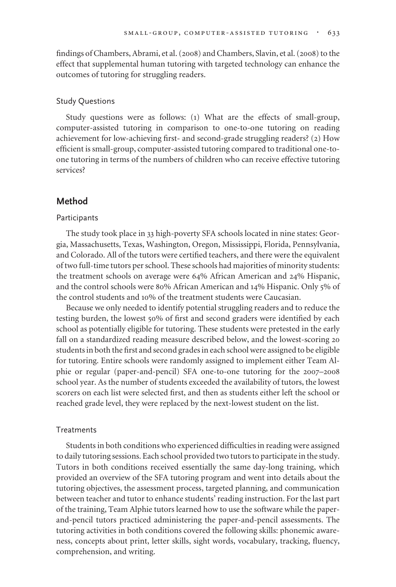findings of Chambers, Abrami, et al. (2008) and Chambers, Slavin, et al. (2008) to the effect that supplemental human tutoring with targeted technology can enhance the outcomes of tutoring for struggling readers.

## Study Questions

Study questions were as follows: (1) What are the effects of small-group, computer-assisted tutoring in comparison to one-to-one tutoring on reading achievement for low-achieving first- and second-grade struggling readers? (2) How efficient is small-group, computer-assisted tutoring compared to traditional one-toone tutoring in terms of the numbers of children who can receive effective tutoring services?

# **Method**

### Participants

The study took place in 33 high-poverty SFA schools located in nine states: Georgia, Massachusetts, Texas, Washington, Oregon, Mississippi, Florida, Pennsylvania, and Colorado. All of the tutors were certified teachers, and there were the equivalent of two full-time tutors per school. These schools had majorities of minority students: the treatment schools on average were 64% African American and 24% Hispanic, and the control schools were 80% African American and 14% Hispanic. Only 5% of the control students and 10% of the treatment students were Caucasian.

Because we only needed to identify potential struggling readers and to reduce the testing burden, the lowest 50% of first and second graders were identified by each school as potentially eligible for tutoring. These students were pretested in the early fall on a standardized reading measure described below, and the lowest-scoring 20 students in both the first and second grades in each school were assigned to be eligible for tutoring. Entire schools were randomly assigned to implement either Team Alphie or regular (paper-and-pencil) SFA one-to-one tutoring for the 2007–2008 school year. As the number of students exceeded the availability of tutors, the lowest scorers on each list were selected first, and then as students either left the school or reached grade level, they were replaced by the next-lowest student on the list.

## **Treatments**

Students in both conditions who experienced difficulties in reading were assigned to daily tutoring sessions. Each school provided two tutors to participate in the study. Tutors in both conditions received essentially the same day-long training, which provided an overview of the SFA tutoring program and went into details about the tutoring objectives, the assessment process, targeted planning, and communication between teacher and tutor to enhance students' reading instruction. For the last part of the training, Team Alphie tutors learned how to use the software while the paperand-pencil tutors practiced administering the paper-and-pencil assessments. The tutoring activities in both conditions covered the following skills: phonemic awareness, concepts about print, letter skills, sight words, vocabulary, tracking, fluency, comprehension, and writing.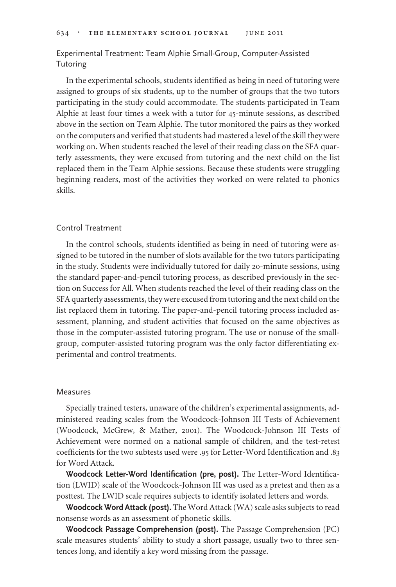# Experimental Treatment: Team Alphie Small-Group, Computer-Assisted Tutoring

In the experimental schools, students identified as being in need of tutoring were assigned to groups of six students, up to the number of groups that the two tutors participating in the study could accommodate. The students participated in Team Alphie at least four times a week with a tutor for 45-minute sessions, as described above in the section on Team Alphie. The tutor monitored the pairs as they worked on the computers and verified that students had mastered a level of the skill they were working on. When students reached the level of their reading class on the SFA quarterly assessments, they were excused from tutoring and the next child on the list replaced them in the Team Alphie sessions. Because these students were struggling beginning readers, most of the activities they worked on were related to phonics skills.

## Control Treatment

In the control schools, students identified as being in need of tutoring were assigned to be tutored in the number of slots available for the two tutors participating in the study. Students were individually tutored for daily 20-minute sessions, using the standard paper-and-pencil tutoring process, as described previously in the section on Success for All. When students reached the level of their reading class on the SFA quarterly assessments, they were excused from tutoring and the next child on the list replaced them in tutoring. The paper-and-pencil tutoring process included assessment, planning, and student activities that focused on the same objectives as those in the computer-assisted tutoring program. The use or nonuse of the smallgroup, computer-assisted tutoring program was the only factor differentiating experimental and control treatments.

### Measures

Specially trained testers, unaware of the children's experimental assignments, administered reading scales from the Woodcock-Johnson III Tests of Achievement (Woodcock, McGrew, & Mather, 2001). The Woodcock-Johnson III Tests of Achievement were normed on a national sample of children, and the test-retest coefficients for the two subtests used were .95 for Letter-Word Identification and .83 for Word Attack.

**Woodcock Letter-Word Identification (pre, post).** The Letter-Word Identification (LWID) scale of the Woodcock-Johnson III was used as a pretest and then as a posttest. The LWID scale requires subjects to identify isolated letters and words.

**Woodcock Word Attack (post).** The Word Attack (WA) scale asks subjects to read nonsense words as an assessment of phonetic skills.

**Woodcock Passage Comprehension (post).** The Passage Comprehension (PC) scale measures students' ability to study a short passage, usually two to three sentences long, and identify a key word missing from the passage.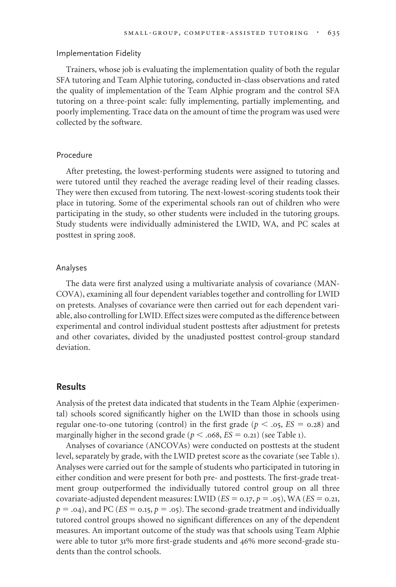## Implementation Fidelity

Trainers, whose job is evaluating the implementation quality of both the regular SFA tutoring and Team Alphie tutoring, conducted in-class observations and rated the quality of implementation of the Team Alphie program and the control SFA tutoring on a three-point scale: fully implementing, partially implementing, and poorly implementing. Trace data on the amount of time the program was used were collected by the software.

# Procedure

After pretesting, the lowest-performing students were assigned to tutoring and were tutored until they reached the average reading level of their reading classes. They were then excused from tutoring. The next-lowest-scoring students took their place in tutoring. Some of the experimental schools ran out of children who were participating in the study, so other students were included in the tutoring groups. Study students were individually administered the LWID, WA, and PC scales at posttest in spring 2008.

## Analyses

The data were first analyzed using a multivariate analysis of covariance (MAN-COVA), examining all four dependent variables together and controlling for LWID on pretests. Analyses of covariance were then carried out for each dependent variable, also controlling for LWID. Effect sizes were computed as the difference between experimental and control individual student posttests after adjustment for pretests and other covariates, divided by the unadjusted posttest control-group standard deviation.

# **Results**

Analysis of the pretest data indicated that students in the Team Alphie (experimental) schools scored significantly higher on the LWID than those in schools using regular one-to-one tutoring (control) in the first grade ( $p < .05$ ,  $ES = 0.28$ ) and marginally higher in the second grade ( $p < .068$ ,  $ES = 0.21$ ) (see Table 1).

Analyses of covariance (ANCOVAs) were conducted on posttests at the student level, separately by grade, with the LWID pretest score as the covariate (see Table 1). Analyses were carried out for the sample of students who participated in tutoring in either condition and were present for both pre- and posttests. The first-grade treatment group outperformed the individually tutored control group on all three covariate-adjusted dependent measures: LWID ( $ES = 0.17$ ,  $p = .05$ ), WA ( $ES = 0.21$ ,  $p = .04$ ), and PC (*ES* = 0.15,  $p = .05$ ). The second-grade treatment and individually tutored control groups showed no significant differences on any of the dependent measures. An important outcome of the study was that schools using Team Alphie were able to tutor 31% more first-grade students and 46% more second-grade students than the control schools.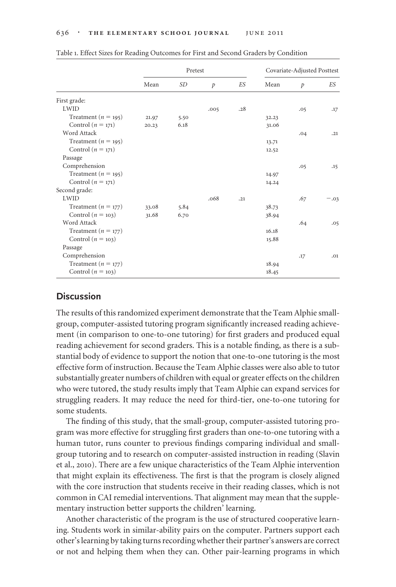|                         | Pretest |      |               |     | Covariate-Adjusted Posttest |               |        |
|-------------------------|---------|------|---------------|-----|-----------------------------|---------------|--------|
|                         | Mean    | SD   | $\mathcal{P}$ | ES  | Mean                        | $\mathcal{P}$ | ES     |
| First grade:            |         |      |               |     |                             |               |        |
| <b>LWID</b>             |         |      | .005          | .28 |                             | .05           | .17    |
| Treatment ( $n = 195$ ) | 21.97   | 5.50 |               |     | 32.23                       |               |        |
| Control $(n = 171)$     | 20.23   | 6.18 |               |     | 31.06                       |               |        |
| Word Attack             |         |      |               |     |                             | .04           | .21    |
| Treatment ( $n = 195$ ) |         |      |               |     | 13.71                       |               |        |
| Control $(n = 171)$     |         |      |               |     | 12.52                       |               |        |
| Passage                 |         |      |               |     |                             |               |        |
| Comprehension           |         |      |               |     |                             | .05           | .15    |
| Treatment ( $n = 195$ ) |         |      |               |     | 14.97                       |               |        |
| Control $(n = 171)$     |         |      |               |     | 14.24                       |               |        |
| Second grade:           |         |      |               |     |                             |               |        |
| <b>LWID</b>             |         |      | .068          | .21 |                             | .67           | $-.03$ |
| Treatment ( $n = 177$ ) | 33.08   | 5.84 |               |     | 38.73                       |               |        |
| Control $(n = 103)$     | 31.68   | 6.70 |               |     | 38.94                       |               |        |
| Word Attack             |         |      |               |     |                             | .64           | .05    |
| Treatment ( $n = 177$ ) |         |      |               |     | 16.18                       |               |        |
| Control $(n = 103)$     |         |      |               |     | 15.88                       |               |        |
| Passage                 |         |      |               |     |                             |               |        |
| Comprehension           |         |      |               |     |                             | .17           | .01    |
| Treatment ( $n = 177$ ) |         |      |               |     | 18.94                       |               |        |
| Control $(n = 103)$     |         |      |               |     | 18.45                       |               |        |

Table 1. Effect Sizes for Reading Outcomes for First and Second Graders by Condition

# **Discussion**

The results of this randomized experiment demonstrate that the Team Alphie smallgroup, computer-assisted tutoring program significantly increased reading achievement (in comparison to one-to-one tutoring) for first graders and produced equal reading achievement for second graders. This is a notable finding, as there is a substantial body of evidence to support the notion that one-to-one tutoring is the most effective form of instruction. Because the Team Alphie classes were also able to tutor substantially greater numbers of children with equal or greater effects on the children who were tutored, the study results imply that Team Alphie can expand services for struggling readers. It may reduce the need for third-tier, one-to-one tutoring for some students.

The finding of this study, that the small-group, computer-assisted tutoring program was more effective for struggling first graders than one-to-one tutoring with a human tutor, runs counter to previous findings comparing individual and smallgroup tutoring and to research on computer-assisted instruction in reading (Slavin et al., 2010). There are a few unique characteristics of the Team Alphie intervention that might explain its effectiveness. The first is that the program is closely aligned with the core instruction that students receive in their reading classes, which is not common in CAI remedial interventions. That alignment may mean that the supplementary instruction better supports the children' learning.

Another characteristic of the program is the use of structured cooperative learning. Students work in similar-ability pairs on the computer. Partners support each other's learning by taking turns recording whether their partner's answers are correct or not and helping them when they can. Other pair-learning programs in which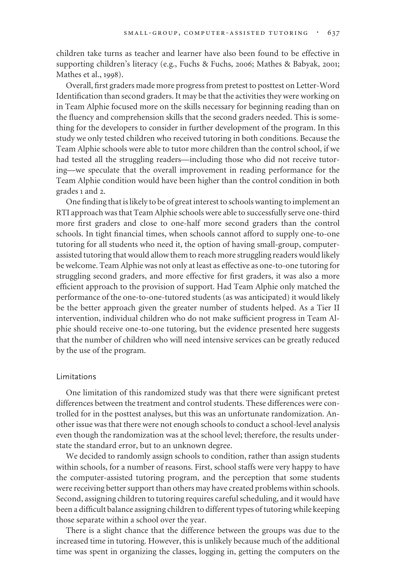children take turns as teacher and learner have also been found to be effective in supporting children's literacy (e.g., Fuchs & Fuchs, 2006; Mathes & Babyak, 2001; Mathes et al., 1998).

Overall, first graders made more progress from pretest to posttest on Letter-Word Identification than second graders. It may be that the activities they were working on in Team Alphie focused more on the skills necessary for beginning reading than on the fluency and comprehension skills that the second graders needed. This is something for the developers to consider in further development of the program. In this study we only tested children who received tutoring in both conditions. Because the Team Alphie schools were able to tutor more children than the control school, if we had tested all the struggling readers—including those who did not receive tutoring—we speculate that the overall improvement in reading performance for the Team Alphie condition would have been higher than the control condition in both grades 1 and 2.

One finding that is likely to be of great interest to schools wanting to implement an RTI approach was that Team Alphie schools were able to successfully serve one-third more first graders and close to one-half more second graders than the control schools. In tight financial times, when schools cannot afford to supply one-to-one tutoring for all students who need it, the option of having small-group, computerassisted tutoring that would allow them to reach more struggling readers would likely be welcome. Team Alphie was not only at least as effective as one-to-one tutoring for struggling second graders, and more effective for first graders, it was also a more efficient approach to the provision of support. Had Team Alphie only matched the performance of the one-to-one-tutored students (as was anticipated) it would likely be the better approach given the greater number of students helped. As a Tier II intervention, individual children who do not make sufficient progress in Team Alphie should receive one-to-one tutoring, but the evidence presented here suggests that the number of children who will need intensive services can be greatly reduced by the use of the program.

## Limitations

One limitation of this randomized study was that there were significant pretest differences between the treatment and control students. These differences were controlled for in the posttest analyses, but this was an unfortunate randomization. Another issue was that there were not enough schools to conduct a school-level analysis even though the randomization was at the school level; therefore, the results understate the standard error, but to an unknown degree.

We decided to randomly assign schools to condition, rather than assign students within schools, for a number of reasons. First, school staffs were very happy to have the computer-assisted tutoring program, and the perception that some students were receiving better support than others may have created problems within schools. Second, assigning children to tutoring requires careful scheduling, and it would have been a difficult balance assigning children to different types of tutoring while keeping those separate within a school over the year.

There is a slight chance that the difference between the groups was due to the increased time in tutoring. However, this is unlikely because much of the additional time was spent in organizing the classes, logging in, getting the computers on the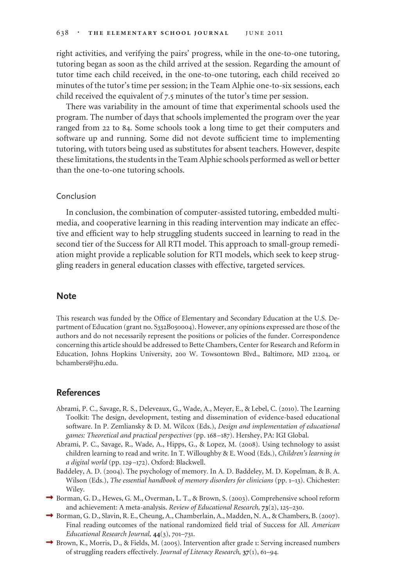right activities, and verifying the pairs' progress, while in the one-to-one tutoring, tutoring began as soon as the child arrived at the session. Regarding the amount of tutor time each child received, in the one-to-one tutoring, each child received 20 minutes of the tutor's time per session; in the Team Alphie one-to-six sessions, each child received the equivalent of 7.5 minutes of the tutor's time per session.

There was variability in the amount of time that experimental schools used the program. The number of days that schools implemented the program over the year ranged from 22 to 84. Some schools took a long time to get their computers and software up and running. Some did not devote sufficient time to implementing tutoring, with tutors being used as substitutes for absent teachers. However, despite these limitations, the students in the Team Alphie schools performed as well or better than the one-to-one tutoring schools.

## Conclusion

In conclusion, the combination of computer-assisted tutoring, embedded multimedia, and cooperative learning in this reading intervention may indicate an effective and efficient way to help struggling students succeed in learning to read in the second tier of the Success for All RTI model. This approach to small-group remediation might provide a replicable solution for RTI models, which seek to keep struggling readers in general education classes with effective, targeted services.

# **Note**

This research was funded by the Office of Elementary and Secondary Education at the U.S. Department of Education (grant no. S332B050004). However, any opinions expressed are those of the authors and do not necessarily represent the positions or policies of the funder. Correspondence concerning this article should be addressed to Bette Chambers, Center for Research and Reform in Education, Johns Hopkins University, 200 W. Towsontown Blvd., Baltimore, MD 21204, or bchambers@jhu.edu.

# **References**

- Abrami, P. C., Savage, R. S., Deleveaux, G., Wade, A., Meyer, E., & Lebel, C. (2010). The Learning Toolkit: The design, development, testing and dissemination of evidence-based educational software. In P. Zemliansky & D. M. Wilcox (Eds.), *Design and implementation of educational games: Theoretical and practical perspectives* (pp. 168–187). Hershey, PA: IGI Global.
- Abrami, P. C., Savage, R., Wade, A., Hipps, G., & Lopez, M. (2008). Using technology to assist children learning to read and write. In T. Willoughby & E. Wood (Eds.), *Children's learning in a digital world* (pp. 129–172). Oxford: Blackwell.
- Baddeley, A. D. (2004). The psychology of memory. In A. D. Baddeley, M. D. Kopelman, & B. A. Wilson (Eds.), *The essential handbook of memory disorders for clinicians* (pp. 1–13). Chichester: Wiley.
- $\rightarrow$  Borman, G. D., Hewes, G. M., Overman, L. T., & Brown, S. (2003). Comprehensive school reform and achievement: A meta-analysis. *Review of Educational Research,* **73**(2), 125–230.
- Borman, G. D., Slavin, R. E., Cheung, A., Chamberlain, A., Madden, N. A., & Chambers, B. (2007). Final reading outcomes of the national randomized field trial of Success for All. *American Educational Research Journal,* **44**(3), 701–731.
- Brown, K., Morris, D., & Fields, M. (2005). Intervention after grade 1: Serving increased numbers of struggling readers effectively. *Journal of Literacy Research,* **37**(1), 61–94.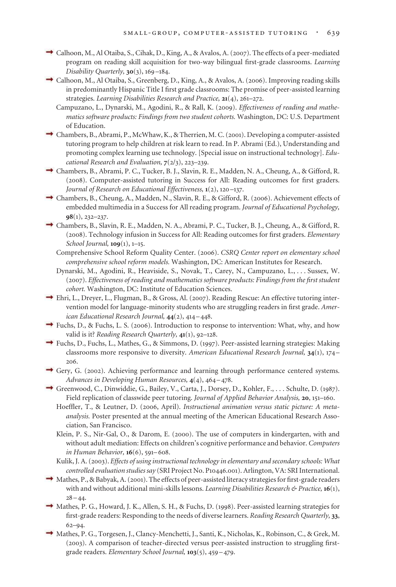- Calhoon, M., Al Otaiba, S., Cihak, D., King, A., & Avalos, A. (2007). The effects of a peer-mediated program on reading skill acquisition for two-way bilingual first-grade classrooms. *Learning Disability Quarterly,* **30**(3), 169–184.
- Calhoon, M., Al Otaiba, S., Greenberg, D., King, A., & Avalos, A. (2006). Improving reading skills in predominantly Hispanic Title I first grade classrooms: The promise of peer-assisted learning strategies. *Learning Disabilities Research and Practice,* **21**(4), 261–272.
	- Campuzano, L., Dynarski, M., Agodini, R., & Rall, K. (2009). *Effectiveness of reading and mathematics software products: Findings from two student cohorts.* Washington, DC: U.S. Department of Education.
- $\rightarrow$  Chambers, B., Abrami, P., McWhaw, K., & Therrien, M. C. (2001). Developing a computer-assisted tutoring program to help children at risk learn to read. In P. Abrami (Ed.), Understanding and promoting complex learning use technology. [Special issue on instructional technology]. *Educational Research and Evaluation,* **7**(2/3), 223–239.
- Chambers, B., Abrami, P. C., Tucker, B. J., Slavin, R. E., Madden, N. A., Cheung, A., & Gifford, R. (2008). Computer-assisted tutoring in Success for All: Reading outcomes for first graders. *Journal of Research on Educational Effectiveness,* **1**(2), 120–137.
- Chambers, B., Cheung, A., Madden, N., Slavin, R. E., & Gifford, R. (2006). Achievement effects of embedded multimedia in a Success for All reading program. *Journal of Educational Psychology,* **98**(1), 232–237.
- Chambers, B., Slavin, R. E., Madden, N. A., Abrami, P. C., Tucker, B. J., Cheung, A., & Gifford, R. (2008). Technology infusion in Success for All: Reading outcomes for first graders. *Elementary School Journal,* **109**(1), 1–15.
	- Comprehensive School Reform Quality Center. (2006). *CSRQ Center report on elementary school comprehensive school reform models.* Washington, DC: American Institutes for Research.
	- Dynarski, M., Agodini, R., Heaviside, S., Novak, T., Carey, N., Campuzano, L.,... Sussex, W. (2007). *Effectiveness of reading and mathematics software products: Findings from the first student cohort.* Washington, DC: Institute of Education Sciences.
- $\rightarrow$  Ehri, L., Dreyer, L., Flugman, B., & Gross, Al. (2007). Reading Rescue: An effective tutoring intervention model for language-minority students who are struggling readers in first grade. *American Educational Research Journal,* **44**(2), 414–448.
- $\rightarrow$  Fuchs, D., & Fuchs, L. S. (2006). Introduction to response to intervention: What, why, and how valid is it? *Reading Research Quarterly,* **41**(1), 92–128.
- Fuchs, D., Fuchs, L., Mathes, G., & Simmons, D. (1997). Peer-assisted learning strategies: Making classrooms more responsive to diversity. *American Educational Research Journal,* **34**(1), 174– 206.
- Gery, G. (2002). Achieving performance and learning through performance centered systems. *Advances in Developing Human Resources,* **4**(4), 464–478.
- Greenwood, C., Dinwiddie, G., Bailey, V., Carta, J., Dorsey, D., Kohler, F., ... Schulte, D. (1987). Field replication of classwide peer tutoring. *Journal of Applied Behavior Analysis,* **20**, 151–160.
	- Hoeffler, T., & Leutner, D. (2006, April). *Instructional animation versus static picture: A metaanalysis.* Poster presented at the annual meeting of the American Educational Research Association, San Francisco.
	- Klein, P. S., Nir-Gal, O., & Darom, E. (2000). The use of computers in kindergarten, with and without adult mediation: Effects on children's cognitive performance and behavior. *Computers in Human Behavior,* **16**(6), 591–608.
	- Kulik, J. A. (2003). *Effects of using instructional technology in elementary and secondary schools: What controlled evaluation studies say* (SRI Project No. P10446.001). Arlington, VA: SRI International.
- Mathes, P., & Babyak, A. (2001). The effects of peer-assisted literacy strategies for first-grade readers with and without additional mini-skills lessons. *Learning Disabilities Research & Practice,* **16**(1),  $28 - 44.$
- Mathes, P. G., Howard, J. K., Allen, S. H., & Fuchs, D. (1998). Peer-assisted learning strategies for first-grade readers: Responding to the needs of diverse learners. *Reading Research Quarterly,* **33**, 62–94.
- Mathes, P. G., Torgesen, J., Clancy-Menchetti, J., Santi, K., Nicholas, K., Robinson, C., & Grek, M. (2003). A comparison of teacher-directed versus peer-assisted instruction to struggling firstgrade readers. *Elementary School Journal,* **103**(5), 459–479.